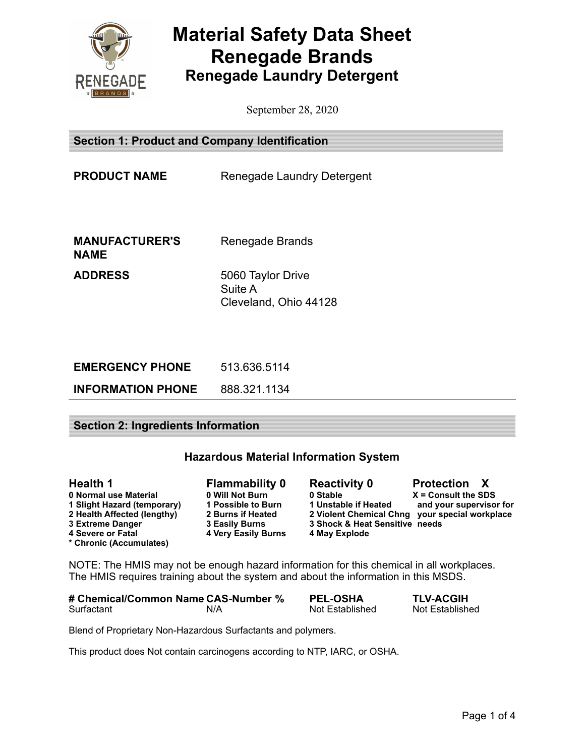

# **Material Safety Data Sheet Renegade Brands Renegade Laundry Detergent**

September 28, 2020

**Section 1: Product and Company Identification**

**PRODUCT NAME** Renegade Laundry Detergent

**MANUFACTURER'S NAME**

Renegade Brands

**ADDRESS** 5060 Taylor Drive Suite A Cleveland, Ohio 44128

| <b>EMERGENCY PHONE</b>   | 513.636.5114 |
|--------------------------|--------------|
| <b>INFORMATION PHONE</b> | 888.321.1134 |

## **Section 2: Ingredients Information**

# **Hazardous Material Information System**

| <b>Health 1</b>             | <b>Flammability 0</b>      | <b>Reactivity 0</b>            | <b>Protection X</b>                            |
|-----------------------------|----------------------------|--------------------------------|------------------------------------------------|
| 0 Normal use Material       | 0 Will Not Burn            | 0 Stable                       | $X =$ Consult the SDS                          |
| 1 Slight Hazard (temporary) | 1 Possible to Burn         | 1 Unstable if Heated           | and your supervisor for                        |
| 2 Health Affected (lengthy) | 2 Burns if Heated          |                                | 2 Violent Chemical Chng your special workplace |
| <b>3 Extreme Danger</b>     | 3 Easily Burns             | 3 Shock & Heat Sensitive needs |                                                |
| 4 Severe or Fatal           | <b>4 Very Easily Burns</b> | 4 May Explode                  |                                                |
| * Chronic (Accumulates)     |                            |                                |                                                |

NOTE: The HMIS may not be enough hazard information for this chemical in all workplaces. The HMIS requires training about the system and about the information in this MSDS.

| # Chemical/Common Name CAS-Number % |     | <b>PEL-OSHA</b> | <b>TLV-ACGIH</b> |
|-------------------------------------|-----|-----------------|------------------|
| Surfactant                          | N/A | Not Established | Not Established  |

Blend of Proprietary Non-Hazardous Surfactants and polymers.

This product does Not contain carcinogens according to NTP, IARC, or OSHA.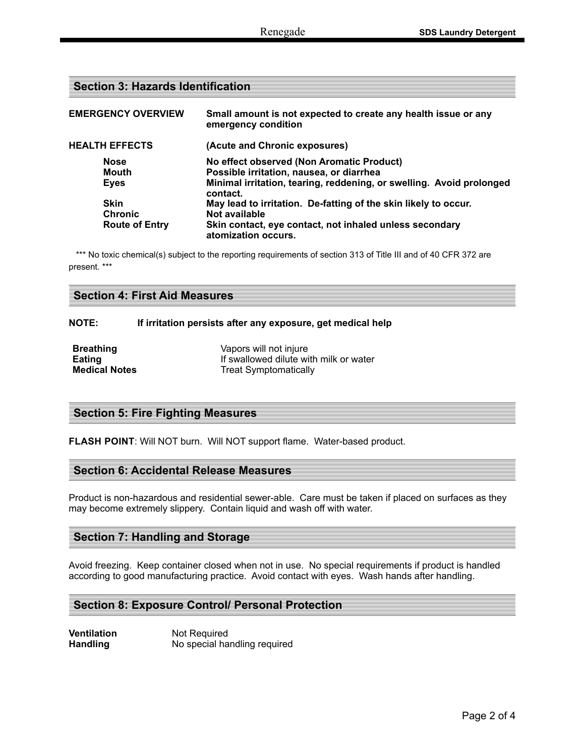## **Section 3: Hazards Identification**

| <b>EMERGENCY OVERVIEW</b> | Small amount is not expected to create any health issue or any<br>emergency condition |
|---------------------------|---------------------------------------------------------------------------------------|
| <b>HEALTH EFFECTS</b>     | (Acute and Chronic exposures)                                                         |
| <b>Nose</b>               | No effect observed (Non Aromatic Product)                                             |
| <b>Mouth</b>              | Possible irritation, nausea, or diarrhea                                              |
| <b>Eves</b>               | Minimal irritation, tearing, reddening, or swelling. Avoid prolonged<br>contact.      |
| <b>Skin</b>               | May lead to irritation. De-fatting of the skin likely to occur.                       |
| <b>Chronic</b>            | Not available                                                                         |
| <b>Route of Entry</b>     | Skin contact, eye contact, not inhaled unless secondary<br>atomization occurs.        |

\*\*\* No toxic chemical(s) subject to the reporting requirements of section 313 of Title III and of 40 CFR 372 are present. \*\*\*

#### **NOTE: If irritation persists after any exposure, get medical help**

| <b>Breathing</b>     | Vapors will not injure                 |
|----------------------|----------------------------------------|
| Eating               | If swallowed dilute with milk or water |
| <b>Medical Notes</b> | <b>Treat Symptomatically</b>           |

## **Section 5: Fire Fighting Measures**

**FLASH POINT**: Will NOT burn. Will NOT support flame. Water-based product.

#### **Section 6: Accidental Release Measures**

Product is non-hazardous and residential sewer-able. Care must be taken if placed on surfaces as they may become extremely slippery. Contain liquid and wash off with water.

## **Section 7: Handling and Storage**

Avoid freezing. Keep container closed when not in use. No special requirements if product is handled according to good manufacturing practice. Avoid contact with eyes. Wash hands after handling.

#### **Section 8: Exposure Control/ Personal Protection**

**Ventilation** Not Required **Handling** No special handling required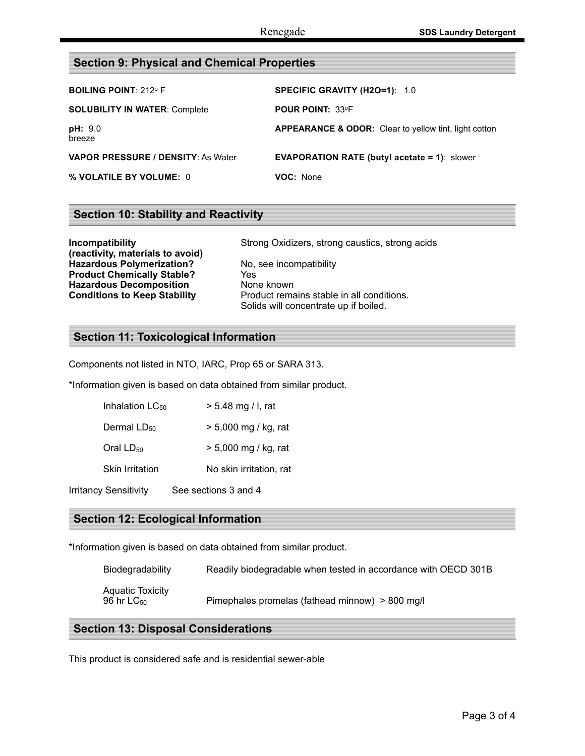# **Section 9: Physical and Chemical Properties**

| <b>BOILING POINT: 212º F</b>         | SPECIFIC GRAVITY (H2O=1): 1.0                                    |
|--------------------------------------|------------------------------------------------------------------|
| <b>SOLUBILITY IN WATER: Complete</b> | <b>POUR POINT: 33°F</b>                                          |
| pH: 9.0<br>breeze                    | <b>APPEARANCE &amp; ODOR:</b> Clear to yellow tint, light cotton |
| VAPOR PRESSURE / DENSITY: As Water   | <b>EVAPORATION RATE (butyl acetate = 1):</b> slower              |
| % VOLATILE BY VOLUME: 0              | VOC: None                                                        |

# **Section 10: Stability and Reactivity**

| Incompatibility                     | Stro  |
|-------------------------------------|-------|
| (reactivity, materials to avoid)    |       |
| <b>Hazardous Polymerization?</b>    | No. : |
| <b>Product Chemically Stable?</b>   | Yes   |
| <b>Hazardous Decomposition</b>      | Non   |
| <b>Conditions to Keep Stability</b> | Proc  |

**Strong Oxidizers, strong caustics, strong acids Hazardous Polymerization?** No, see incompatibility **None known** Product remains stable in all conditions. Solids will concentrate up if boiled.

## **Section 11: Toxicological Information**

Components not listed in NTO, IARC, Prop 65 or SARA 313.

\*Information given is based on data obtained from similar product.

| Inhalation LC <sub>50</sub>  | $> 5.48$ mg / l, rat    |
|------------------------------|-------------------------|
| Dermal LD <sub>50</sub>      | $> 5,000$ mg / kg, rat  |
| Oral $LD_{50}$               | $> 5,000$ mg / kg, rat  |
| <b>Skin Irritation</b>       | No skin irritation, rat |
| <b>Irritancy Sensitivity</b> | See sections 3 and 4    |

## **Section 12: Ecological Information**

\*Information given is based on data obtained from similar product.

| Biodegradability                    | Readily biodegradable when tested in accordance with OECD 301B |
|-------------------------------------|----------------------------------------------------------------|
| Aquatic Toxicity<br>96 hr $LC_{50}$ | Pimephales promelas (fathead minnow) > 800 mg/l                |

## **Section 13: Disposal Considerations**

This product is considered safe and is residential sewer-able